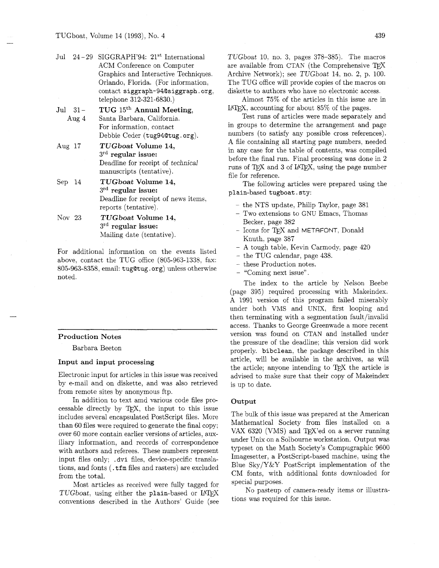- Jul 24-29 SIGGRAPH'94: 21<sup>st</sup> International ACM Conference on Computer Graphics and Interactive Techniques. Orlando, Florida. (For information, contact siggraph-94@siggraph.org, telephone 312-321-6830.)
- Jul 31- Aug 4 TUG 15<sup>th</sup> Annual Meeting, Santa Barbara, California. For information, contact Debbie Ceder (tug94Qtug. org).
- Aug 17 **TUGboat Volume 14,**  3rd **regular issue:**  Deadline for receipt of technical manuscripts (tentative).
- Sep 14 **TUGboat Volume 14,**  3rd **regular issue:**  Deadline for receipt of news items, reports (tentative).

Nov 23 **TUGboat Volume 14,**  31~ **regular issue:**  Mailing date (tentative).

For additional information on the events listed above, contact the TUG office (805-963-1338, fax: 805-963-8358, email: tugQtug . org) unless otherwise noted.

### **Production Notes**

Barbara Beeton

#### **Input and input processing**

Electronic input for articles in this issue was received by e-mail and on diskette, and was also retrieved from remote sites by anonymous ftp.

In addition to text amd various code files processable directly by T<sub>F</sub>X, the input to this issue includes several encapsulated PostScript files. More than 60 files were required to generate the final copy; over 60 more contain earlier versions of articles, auxiliary information, and records of correspondence with authors and referees. These numbers represent input files only; . dvi files, device-specific translations, and fonts ( . tfm files and rasters) are excluded from the total.

Most articles as received were fully tagged for  $TUGboat$ , using either the plain-based or  $IAT$ <sub>E</sub>X conventions described in the Authors' Guide (see

TUGboat 10. no. 3, pages 378-385). The macros are available from CTAN (the Comprehensive Archive Network); see TUGboat 14, no. 2, p. 100. The TUG office will provide copies of the macros on diskette to authors who have no electronic access.

Almost 75% of the articles in this issue are in LAT<sub>F</sub>X. accounting for about  $85\%$  of the pages.

Test runs of articles were made separately and in groups to determine the arrangement and page numbers (to satisfy any possible cross references). A file containing all starting page numbers, needed in any case for the table of contents, was compiled before the final run. Final processing was done in 2 runs of TFX and 3 of IATFX, using the page number file for reference.

The following articles were prepared using the plain-based tugboat. sty:

- the NTS update, Philip Taylor, page 381
- Two extensions to GNU Emacs, Thomas Becker, page 382
- Icons for TFX and METAFONT, Donald Knuth, page 387
- A tough table, Kevin Carmody, page 420
- $-$  the TUG calendar, page 438.
- these Production notes.
- "Coming next issue".

The index to the article by Nelson Beebe (page 395) required processing with Makeindex. A 1991 version of this program failed miserably under both VMS and UNIX, first looping and then terminating with a segmentation fault/invalid access. Thanks to George Greenwade a more recent version was found on CTAN and installed under the pressure of the deadline; this version did work properly. bibclean, the package described in this article, will be available in the archives, as will the article; anyone intending to  $TFX$  the article is advised to make sure that their copy of Makeindex is up to date.

#### **Output**

The bulk of this issue was prepared at the American Mathematical Society from files installed on a VAX 6320 (VMS) and TFX'ed on a server running under Unix on a Solbourne workstation. Output was typeset on the Math Society's Compugraphic 9600 Imagesetter, a PostScript-based machine, using the Blue  $S_{ky}/Y&Y$  PostScript implementation of the CM fonts, with additional fonts downloaded for special purposes.

No pasteup of camera-ready items or illustrations was required for this issue.